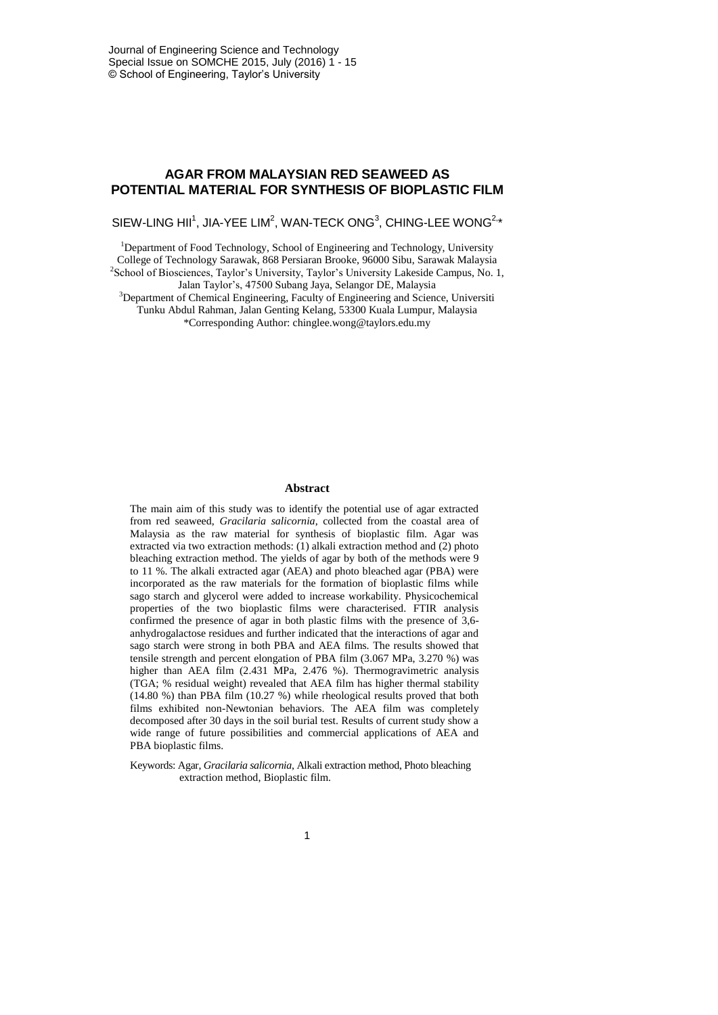Journal of Engineering Science and Technology Special Issue on SOMCHE 2015, July (2016) 1 - 15 © School of Engineering, Taylor's University

# **AGAR FROM MALAYSIAN RED SEAWEED AS POTENTIAL MATERIAL FOR SYNTHESIS OF BIOPLASTIC FILM**

 $\mathsf{SIEW}\text{-}\mathsf{LING}\ \mathsf{HII}^1, \mathsf{JIA}\text{-}\mathsf{YEE}\ \mathsf{LIM}^2, \mathsf{WAN}\text{-}\mathsf{TECK}\ \mathsf{ONG}^3, \mathsf{CHING}\text{-}\mathsf{LEE}\ \mathsf{WONG}^{2,\star}$ 

<sup>1</sup>Department of Food Technology, School of Engineering and Technology, University College of Technology Sarawak, 868 Persiaran Brooke, 96000 Sibu, Sarawak Malaysia <sup>2</sup>School of Biosciences, Taylor's University, Taylor's University Lakeside Campus, No. 1, Jalan Taylor's, 47500 Subang Jaya, Selangor DE, Malaysia

<sup>3</sup>Department of Chemical Engineering, Faculty of Engineering and Science, Universiti Tunku Abdul Rahman, Jalan Genting Kelang, 53300 Kuala Lumpur, Malaysia \*Corresponding Author: chinglee.wong@taylors.edu.my

### **Abstract**

The main aim of this study was to identify the potential use of agar extracted from red seaweed, *Gracilaria salicornia*, collected from the coastal area of Malaysia as the raw material for synthesis of bioplastic film. Agar was extracted via two extraction methods: (1) alkali extraction method and (2) photo bleaching extraction method. The yields of agar by both of the methods were 9 to 11 %. The alkali extracted agar (AEA) and photo bleached agar (PBA) were incorporated as the raw materials for the formation of bioplastic films while sago starch and glycerol were added to increase workability. Physicochemical properties of the two bioplastic films were characterised. FTIR analysis confirmed the presence of agar in both plastic films with the presence of 3,6 anhydrogalactose residues and further indicated that the interactions of agar and sago starch were strong in both PBA and AEA films. The results showed that tensile strength and percent elongation of PBA film (3.067 MPa, 3.270 %) was higher than AEA film (2.431 MPa, 2.476 %). Thermogravimetric analysis (TGA; % residual weight) revealed that AEA film has higher thermal stability (14.80 %) than PBA film (10.27 %) while rheological results proved that both films exhibited non-Newtonian behaviors. The AEA film was completely decomposed after 30 days in the soil burial test. Results of current study show a wide range of future possibilities and commercial applications of AEA and PBA bioplastic films.

Keywords: Agar, *Gracilaria salicornia*, Alkali extraction method, Photo bleaching extraction method, Bioplastic film.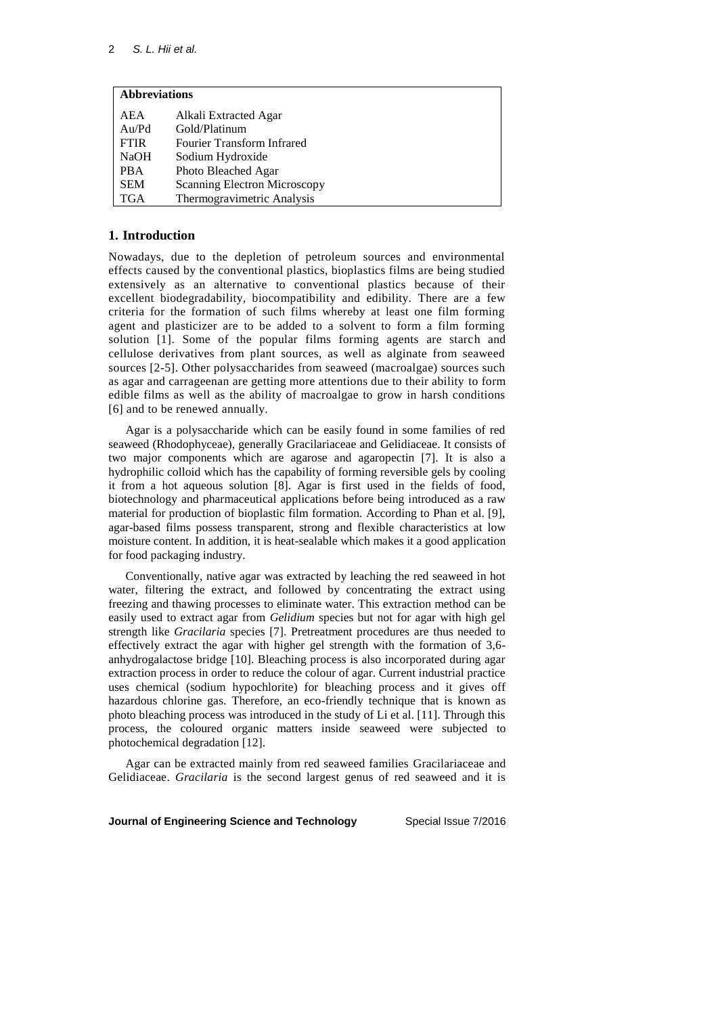| <b>Abbreviations</b> |                                     |  |  |
|----------------------|-------------------------------------|--|--|
| AEA                  | Alkali Extracted Agar               |  |  |
| Au/Pd                | Gold/Platinum                       |  |  |
| <b>FTIR</b>          | Fourier Transform Infrared          |  |  |
| <b>NaOH</b>          | Sodium Hydroxide                    |  |  |
| <b>PBA</b>           | Photo Bleached Agar                 |  |  |
| <b>SEM</b>           | <b>Scanning Electron Microscopy</b> |  |  |
| TGA                  | Thermogravimetric Analysis          |  |  |

## **1. Introduction**

Nowadays, due to the depletion of petroleum sources and environmental effects caused by the conventional plastics, bioplastics films are being studied extensively as an alternative to conventional plastics because of their excellent biodegradability, biocompatibility and edibility. There are a few criteria for the formation of such films whereby at least one film forming agent and plasticizer are to be added to a solvent to form a film forming solution [1]. Some of the popular films forming agents are starch and cellulose derivatives from plant sources, as well as alginate from seaweed sources [2-5]. Other polysaccharides from seaweed (macroalgae) sources such as agar and carrageenan are getting more attentions due to their ability to form edible films as well as the ability of macroalgae to grow in harsh conditions [6] and to be renewed annually.

Agar is a polysaccharide which can be easily found in some families of red seaweed (Rhodophyceae), generally Gracilariaceae and Gelidiaceae. It consists of two major components which are agarose and agaropectin [7]. It is also a hydrophilic colloid which has the capability of forming reversible gels by cooling it from a hot aqueous solution [8]. Agar is first used in the fields of food, biotechnology and pharmaceutical applications before being introduced as a raw material for production of bioplastic film formation. According to Phan et al. [9], agar-based films possess transparent, strong and flexible characteristics at low moisture content. In addition, it is heat-sealable which makes it a good application for food packaging industry.

Conventionally, native agar was extracted by leaching the red seaweed in hot water, filtering the extract, and followed by concentrating the extract using freezing and thawing processes to eliminate water. This extraction method can be easily used to extract agar from *Gelidium* species but not for agar with high gel strength like *Gracilaria* species [7]. Pretreatment procedures are thus needed to effectively extract the agar with higher gel strength with the formation of 3,6 anhydrogalactose bridge [10]. Bleaching process is also incorporated during agar extraction process in order to reduce the colour of agar. Current industrial practice uses chemical (sodium hypochlorite) for bleaching process and it gives off hazardous chlorine gas. Therefore, an eco-friendly technique that is known as photo bleaching process was introduced in the study of Li et al. [11]. Through this process, the coloured organic matters inside seaweed were subjected to photochemical degradation [12].

Agar can be extracted mainly from red seaweed families Gracilariaceae and Gelidiaceae. *Gracilaria* is the second largest genus of red seaweed and it is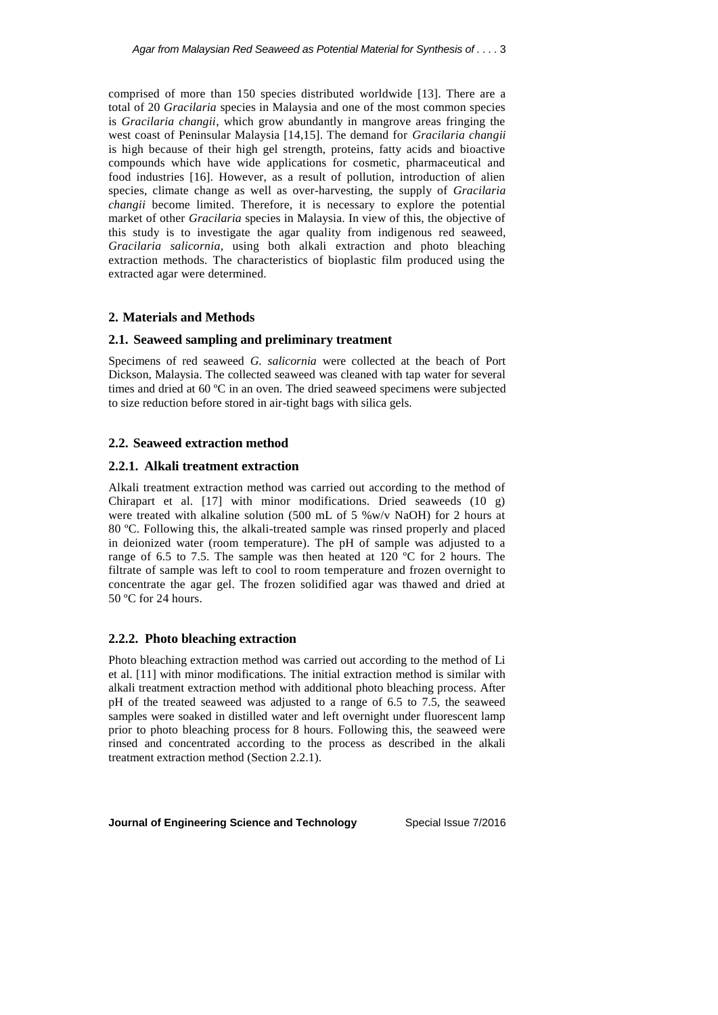comprised of more than 150 species distributed worldwide [13]. There are a total of 20 *Gracilaria* species in Malaysia and one of the most common species is *Gracilaria changii*, which grow abundantly in mangrove areas fringing the west coast of Peninsular Malaysia [14,15]. The demand for *Gracilaria changii*  is high because of their high gel strength, proteins, fatty acids and bioactive compounds which have wide applications for cosmetic, pharmaceutical and food industries [16]. However, as a result of pollution, introduction of alien species, climate change as well as over-harvesting, the supply of *Gracilaria changii* become limited. Therefore, it is necessary to explore the potential market of other *Gracilaria* species in Malaysia. In view of this, the objective of this study is to investigate the agar quality from indigenous red seaweed, *Gracilaria salicornia*, using both alkali extraction and photo bleaching extraction methods. The characteristics of bioplastic film produced using the extracted agar were determined.

# **2. Materials and Methods**

### **2.1. Seaweed sampling and preliminary treatment**

Specimens of red seaweed *G. salicornia* were collected at the beach of Port Dickson, Malaysia. The collected seaweed was cleaned with tap water for several times and dried at 60 ºC in an oven. The dried seaweed specimens were subjected to size reduction before stored in air-tight bags with silica gels.

## **2.2. Seaweed extraction method**

#### **2.2.1. Alkali treatment extraction**

Alkali treatment extraction method was carried out according to the method of Chirapart et al. [17] with minor modifications. Dried seaweeds (10 g) were treated with alkaline solution (500 mL of 5 %w/v NaOH) for 2 hours at 80 ºC. Following this, the alkali-treated sample was rinsed properly and placed in deionized water (room temperature). The pH of sample was adjusted to a range of 6.5 to 7.5. The sample was then heated at 120  $^{\circ}$ C for 2 hours. The filtrate of sample was left to cool to room temperature and frozen overnight to concentrate the agar gel. The frozen solidified agar was thawed and dried at 50 °C for 24 hours.

### **2.2.2. Photo bleaching extraction**

Photo bleaching extraction method was carried out according to the method of Li et al. [11] with minor modifications. The initial extraction method is similar with alkali treatment extraction method with additional photo bleaching process. After pH of the treated seaweed was adjusted to a range of 6.5 to 7.5, the seaweed samples were soaked in distilled water and left overnight under fluorescent lamp prior to photo bleaching process for 8 hours. Following this, the seaweed were rinsed and concentrated according to the process as described in the alkali treatment extraction method (Section 2.2.1).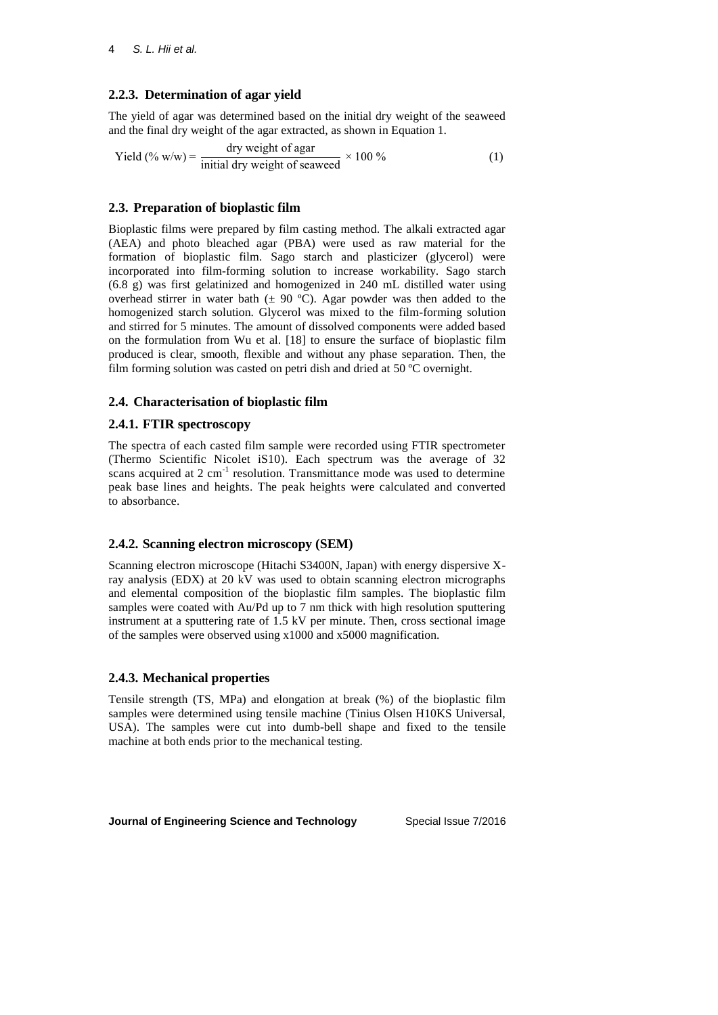# **2.2.3. Determination of agar yield**

The yield of agar was determined based on the initial dry weight of the seaweed and the final dry weight of the agar extracted, as shown in Equation 1.

Yield (%) 
$$
w/w
$$
) =  $\frac{dy$  weight of agar  
initial dry weight of seaweed × 100 % (1)

# **2.3. Preparation of bioplastic film**

Bioplastic films were prepared by film casting method. The alkali extracted agar (AEA) and photo bleached agar (PBA) were used as raw material for the formation of bioplastic film. Sago starch and plasticizer (glycerol) were incorporated into film-forming solution to increase workability. Sago starch (6.8 g) was first gelatinized and homogenized in 240 mL distilled water using overhead stirrer in water bath  $(\pm 90 \degree C)$ . Agar powder was then added to the homogenized starch solution. Glycerol was mixed to the film-forming solution and stirred for 5 minutes. The amount of dissolved components were added based on the formulation from Wu et al. [18] to ensure the surface of bioplastic film produced is clear, smooth, flexible and without any phase separation. Then, the film forming solution was casted on petri dish and dried at 50 ºC overnight.

# **2.4. Characterisation of bioplastic film**

# **2.4.1. FTIR spectroscopy**

The spectra of each casted film sample were recorded using FTIR spectrometer (Thermo Scientific Nicolet iS10). Each spectrum was the average of 32 scans acquired at  $2 \text{ cm}^{-1}$  resolution. Transmittance mode was used to determine peak base lines and heights. The peak heights were calculated and converted to absorbance.

# **2.4.2. Scanning electron microscopy (SEM)**

Scanning electron microscope (Hitachi S3400N, Japan) with energy dispersive Xray analysis (EDX) at 20 kV was used to obtain scanning electron micrographs and elemental composition of the bioplastic film samples. The bioplastic film samples were coated with Au/Pd up to 7 nm thick with high resolution sputtering instrument at a sputtering rate of 1.5 kV per minute. Then, cross sectional image of the samples were observed using x1000 and x5000 magnification.

# **2.4.3. Mechanical properties**

Tensile strength (TS, MPa) and elongation at break (%) of the bioplastic film samples were determined using tensile machine (Tinius Olsen H10KS Universal, USA). The samples were cut into dumb-bell shape and fixed to the tensile machine at both ends prior to the mechanical testing.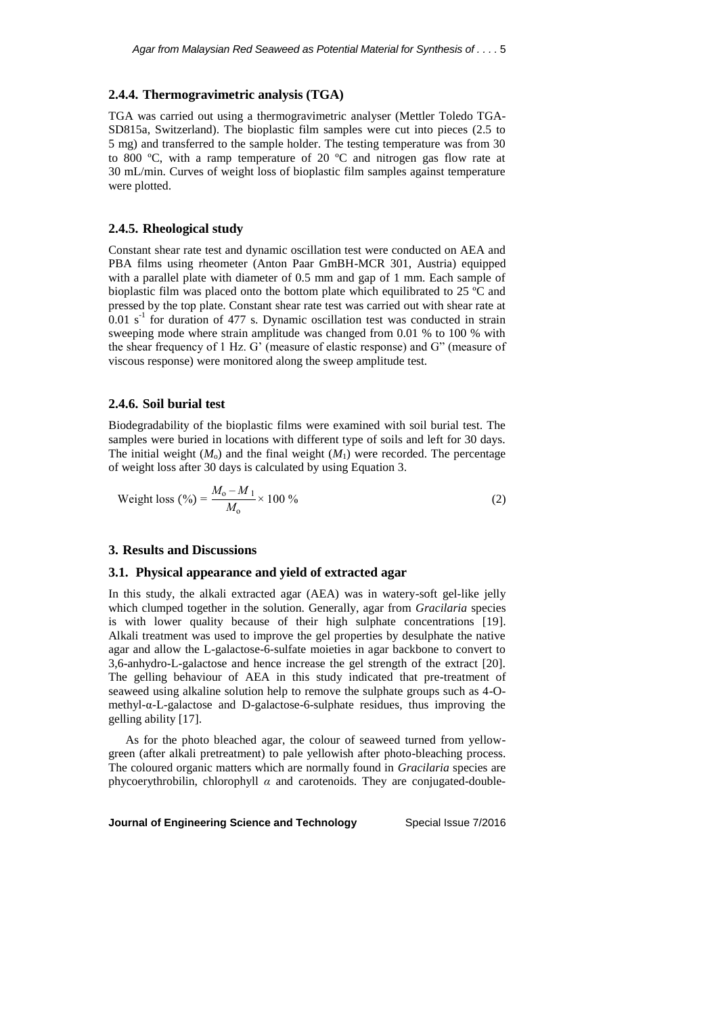#### **2.4.4. Thermogravimetric analysis (TGA)**

TGA was carried out using a thermogravimetric analyser (Mettler Toledo TGA-SD815a, Switzerland). The bioplastic film samples were cut into pieces (2.5 to 5 mg) and transferred to the sample holder. The testing temperature was from 30 to 800 ºC, with a ramp temperature of 20 ºC and nitrogen gas flow rate at 30 mL/min. Curves of weight loss of bioplastic film samples against temperature were plotted.

## **2.4.5. Rheological study**

Constant shear rate test and dynamic oscillation test were conducted on AEA and PBA films using rheometer (Anton Paar GmBH-MCR 301, Austria) equipped with a parallel plate with diameter of 0.5 mm and gap of 1 mm. Each sample of bioplastic film was placed onto the bottom plate which equilibrated to 25 ºC and pressed by the top plate. Constant shear rate test was carried out with shear rate at  $0.01$  s<sup>-1</sup> for duration of 477 s. Dynamic oscillation test was conducted in strain sweeping mode where strain amplitude was changed from 0.01 % to 100 % with the shear frequency of 1 Hz. G' (measure of elastic response) and G" (measure of viscous response) were monitored along the sweep amplitude test.

#### **2.4.6. Soil burial test**

Biodegradability of the bioplastic films were examined with soil burial test. The samples were buried in locations with different type of soils and left for 30 days. The initial weight  $(M_0)$  and the final weight  $(M_1)$  were recorded. The percentage of weight loss after 30 days is calculated by using Equation 3.

Weight loss 
$$
(\%) = \frac{M_0 - M_1}{M_0} \times 100 \%
$$
 (2)

### **3. Results and Discussions**

### **3.1. Physical appearance and yield of extracted agar**

In this study, the alkali extracted agar (AEA) was in watery-soft gel-like jelly which clumped together in the solution. Generally, agar from *Gracilaria* species is with lower quality because of their high sulphate concentrations [19]. Alkali treatment was used to improve the gel properties by desulphate the native agar and allow the L-galactose-6-sulfate moieties in agar backbone to convert to 3,6-anhydro-L-galactose and hence increase the gel strength of the extract [20]. The gelling behaviour of AEA in this study indicated that pre-treatment of seaweed using alkaline solution help to remove the sulphate groups such as 4-Omethyl-α-L-galactose and D-galactose-6-sulphate residues, thus improving the gelling ability [17].

As for the photo bleached agar, the colour of seaweed turned from yellowgreen (after alkali pretreatment) to pale yellowish after photo-bleaching process. The coloured organic matters which are normally found in *Gracilaria* species are phycoerythrobilin, chlorophyll  $\alpha$  and carotenoids. They are conjugated-double-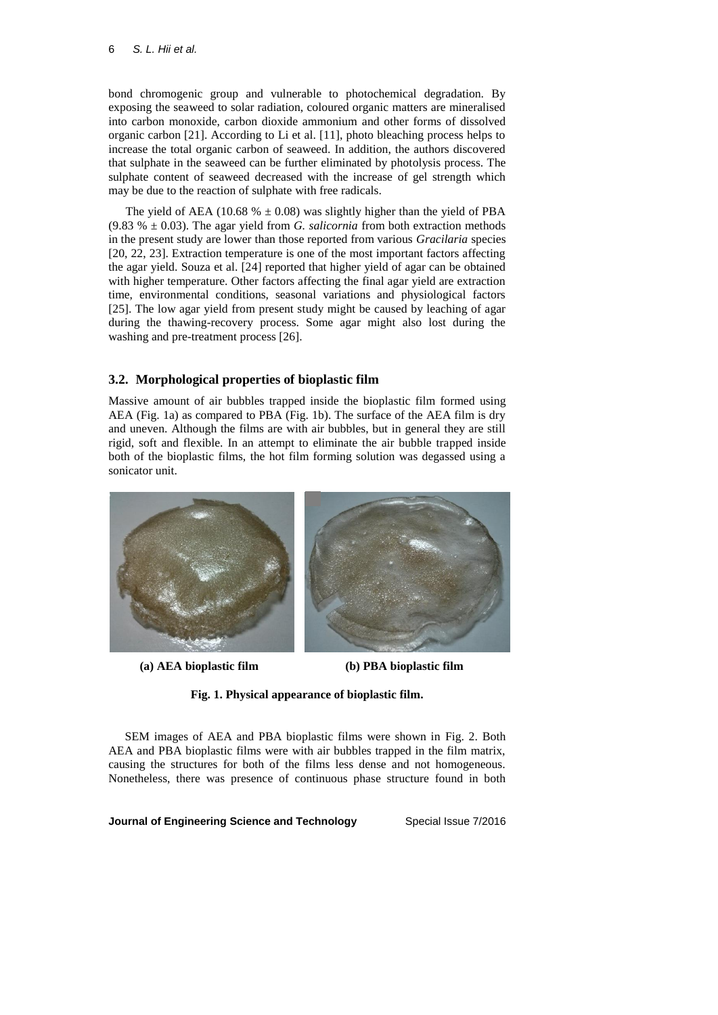bond chromogenic group and vulnerable to photochemical degradation. By exposing the seaweed to solar radiation, coloured organic matters are mineralised into carbon monoxide, carbon dioxide ammonium and other forms of dissolved organic carbon [21]. According to Li et al. [11], photo bleaching process helps to increase the total organic carbon of seaweed. In addition, the authors discovered that sulphate in the seaweed can be further eliminated by photolysis process. The sulphate content of seaweed decreased with the increase of gel strength which may be due to the reaction of sulphate with free radicals.

The yield of AEA (10.68 %  $\pm$  0.08) was slightly higher than the yield of PBA (9.83  $% \pm 0.03$ ). The agar yield from *G. salicornia* from both extraction methods in the present study are lower than those reported from various *Gracilaria* species [20, 22, 23]. Extraction temperature is one of the most important factors affecting the agar yield. Souza et al. [24] reported that higher yield of agar can be obtained with higher temperature. Other factors affecting the final agar yield are extraction time, environmental conditions, seasonal variations and physiological factors [25]. The low agar yield from present study might be caused by leaching of agar during the thawing-recovery process. Some agar might also lost during the washing and pre-treatment process [26].

# **3.2. Morphological properties of bioplastic film**

Massive amount of air bubbles trapped inside the bioplastic film formed using AEA (Fig. 1a) as compared to PBA (Fig. 1b). The surface of the AEA film is dry and uneven. Although the films are with air bubbles, but in general they are still rigid, soft and flexible. In an attempt to eliminate the air bubble trapped inside both of the bioplastic films, the hot film forming solution was degassed using a sonicator unit.



**(a) AEA bioplastic film (b) PBA bioplastic film**

**Fig. 1. Physical appearance of bioplastic film.**

SEM images of AEA and PBA bioplastic films were shown in Fig. 2. Both AEA and PBA bioplastic films were with air bubbles trapped in the film matrix, causing the structures for both of the films less dense and not homogeneous. Nonetheless, there was presence of continuous phase structure found in both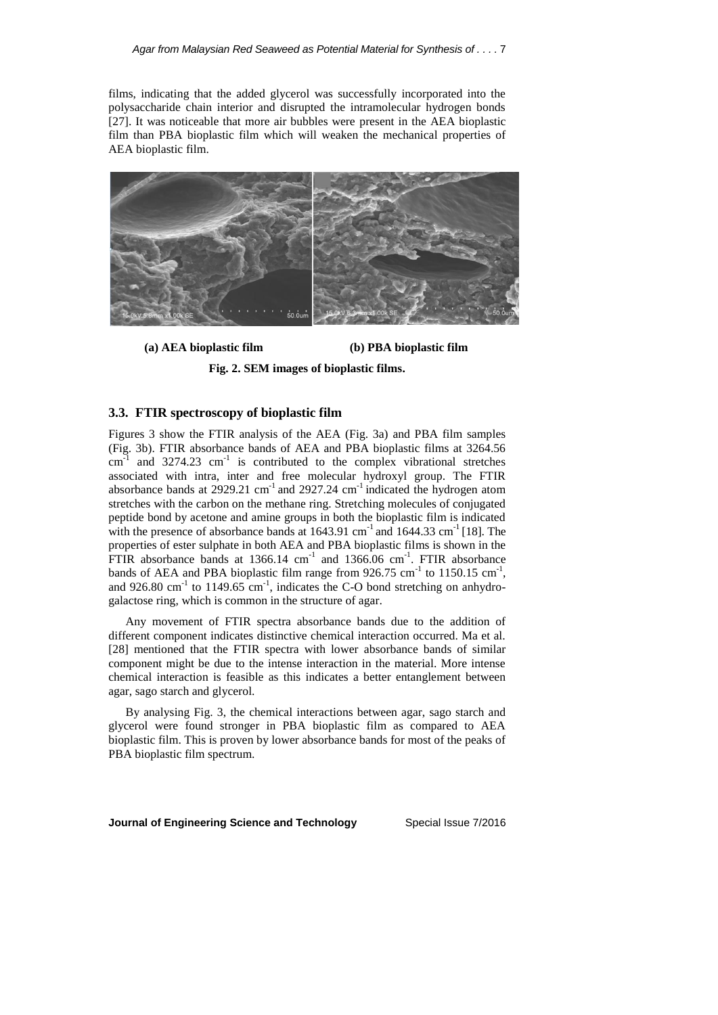films, indicating that the added glycerol was successfully incorporated into the polysaccharide chain interior and disrupted the intramolecular hydrogen bonds [27]. It was noticeable that more air bubbles were present in the AEA bioplastic film than PBA bioplastic film which will weaken the mechanical properties of AEA bioplastic film.



**(a) AEA bioplastic film (b) PBA bioplastic film**



## **3.3. FTIR spectroscopy of bioplastic film**

Figures 3 show the FTIR analysis of the AEA (Fig. 3a) and PBA film samples (Fig. 3b). FTIR absorbance bands of AEA and PBA bioplastic films at 3264.56  $cm^{-1}$  and 3274.23  $cm^{-1}$  is contributed to the complex vibrational stretches associated with intra, inter and free molecular hydroxyl group. The FTIR absorbance bands at  $2929.21 \text{ cm}^{-1}$  and  $2927.24 \text{ cm}^{-1}$  indicated the hydrogen atom stretches with the carbon on the methane ring. Stretching molecules of conjugated peptide bond by acetone and amine groups in both the bioplastic film is indicated with the presence of absorbance bands at  $1643.91 \text{ cm}^{-1}$  and  $1644.33 \text{ cm}^{-1}$  [18]. The properties of ester sulphate in both AEA and PBA bioplastic films is shown in the FTIR absorbance bands at  $1366.14 \text{ cm}^{-1}$  and  $1366.06 \text{ cm}^{-1}$ . FTIR absorbance bands of AEA and PBA bioplastic film range from  $926.75 \text{ cm}^{-1}$  to  $1150.15 \text{ cm}^{-1}$ , and  $926.80 \text{ cm}^{-1}$  to  $1149.65 \text{ cm}^{-1}$ , indicates the C-O bond stretching on anhydrogalactose ring, which is common in the structure of agar.

Any movement of FTIR spectra absorbance bands due to the addition of different component indicates distinctive chemical interaction occurred. Ma et al. [28] mentioned that the FTIR spectra with lower absorbance bands of similar component might be due to the intense interaction in the material. More intense chemical interaction is feasible as this indicates a better entanglement between agar, sago starch and glycerol.

By analysing Fig. 3, the chemical interactions between agar, sago starch and glycerol were found stronger in PBA bioplastic film as compared to AEA bioplastic film. This is proven by lower absorbance bands for most of the peaks of PBA bioplastic film spectrum.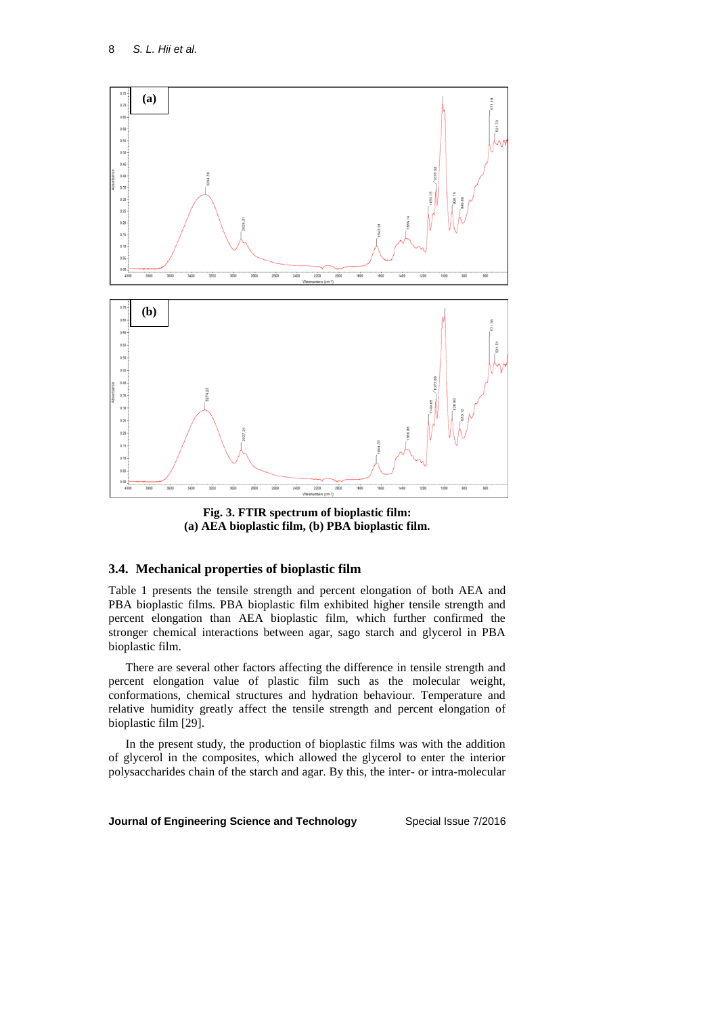

**Fig. 3. FTIR spectrum of bioplastic film: (a) AEA bioplastic film, (b) PBA bioplastic film.**

## **3.4. Mechanical properties of bioplastic film**

Table 1 presents the tensile strength and percent elongation of both AEA and PBA bioplastic films. PBA bioplastic film exhibited higher tensile strength and percent elongation than AEA bioplastic film, which further confirmed the stronger chemical interactions between agar, sago starch and glycerol in PBA bioplastic film.

There are several other factors affecting the difference in tensile strength and percent elongation value of plastic film such as the molecular weight, conformations, chemical structures and hydration behaviour. Temperature and relative humidity greatly affect the tensile strength and percent elongation of bioplastic film [29].

In the present study, the production of bioplastic films was with the addition of glycerol in the composites, which allowed the glycerol to enter the interior polysaccharides chain of the starch and agar. By this, the inter- or intra-molecular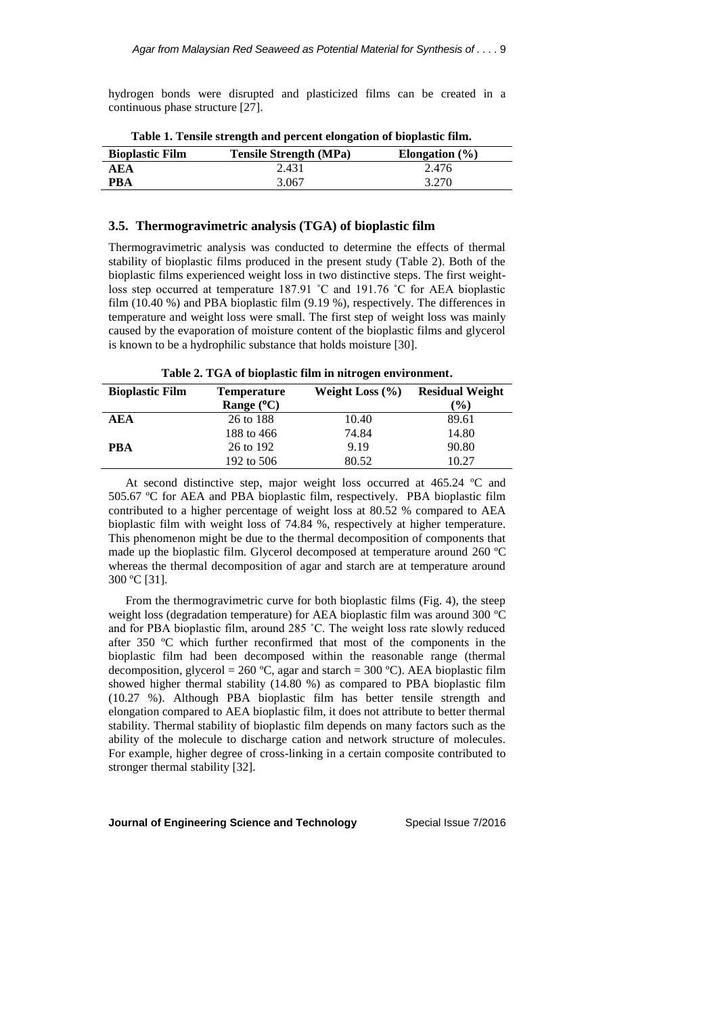hydrogen bonds were disrupted and plasticized films can be created in a continuous phase structure [27].

| <u>twere to themere our engine man perfective econgwerent of stoppmente mann</u> |                               |                    |  |  |  |
|----------------------------------------------------------------------------------|-------------------------------|--------------------|--|--|--|
| <b>Bioplastic Film</b>                                                           | <b>Tensile Strength (MPa)</b> | Elongation $(\% )$ |  |  |  |
| AEA                                                                              | 2.431                         | 2.476              |  |  |  |
| <b>PBA</b>                                                                       | 3.067                         | 3.270              |  |  |  |
|                                                                                  |                               |                    |  |  |  |

**Table 1. Tensile strength and percent elongation of bioplastic film.**

#### **3.5. Thermogravimetric analysis (TGA) of bioplastic film**

Thermogravimetric analysis was conducted to determine the effects of thermal stability of bioplastic films produced in the present study (Table 2). Both of the bioplastic films experienced weight loss in two distinctive steps. The first weightloss step occurred at temperature 187.91 ˚C and 191.76 ˚C for AEA bioplastic film (10.40 %) and PBA bioplastic film (9.19 %), respectively. The differences in temperature and weight loss were small. The first step of weight loss was mainly caused by the evaporation of moisture content of the bioplastic films and glycerol is known to be a hydrophilic substance that holds moisture [30].

**Table 2. TGA of bioplastic film in nitrogen environment.**

| <b>Bioplastic Film</b> | <b>Temperature</b> | Weight Loss $(\% )$ | <b>Residual Weight</b>       |
|------------------------|--------------------|---------------------|------------------------------|
|                        | Range $(°C)$       |                     | $\left( \frac{0}{0} \right)$ |
| <b>AEA</b>             | 26 to 188          | 10.40               | 89.61                        |
|                        | 188 to 466         | 74.84               | 14.80                        |
| <b>PBA</b>             | 26 to 192          | 9.19                | 90.80                        |
|                        | 192 to 506         | 80.52               | 10.27                        |

At second distinctive step, major weight loss occurred at 465.24 ºC and 505.67 ºC for AEA and PBA bioplastic film, respectively. PBA bioplastic film contributed to a higher percentage of weight loss at 80.52 % compared to AEA bioplastic film with weight loss of 74.84 %, respectively at higher temperature. This phenomenon might be due to the thermal decomposition of components that made up the bioplastic film. Glycerol decomposed at temperature around 260 ºC whereas the thermal decomposition of agar and starch are at temperature around 300 ºC [31].

From the thermogravimetric curve for both bioplastic films (Fig. 4), the steep weight loss (degradation temperature) for AEA bioplastic film was around 300 ºC and for PBA bioplastic film, around 285 ˚C. The weight loss rate slowly reduced after 350 ºC which further reconfirmed that most of the components in the bioplastic film had been decomposed within the reasonable range (thermal decomposition, glycerol = 260 °C, agar and starch = 300 °C). AEA bioplastic film showed higher thermal stability (14.80 %) as compared to PBA bioplastic film (10.27 %). Although PBA bioplastic film has better tensile strength and elongation compared to AEA bioplastic film, it does not attribute to better thermal stability. Thermal stability of bioplastic film depends on many factors such as the ability of the molecule to discharge cation and network structure of molecules. For example, higher degree of cross-linking in a certain composite contributed to stronger thermal stability [32].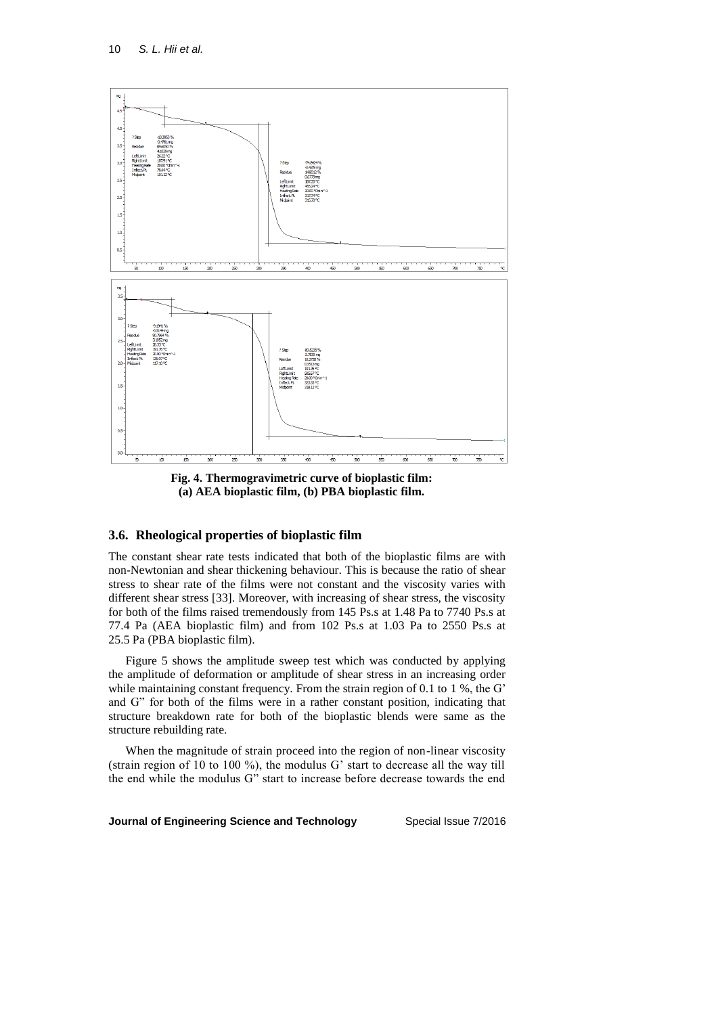

**Fig. 4. Thermogravimetric curve of bioplastic film: (a) AEA bioplastic film, (b) PBA bioplastic film.**

## **3.6. Rheological properties of bioplastic film**

The constant shear rate tests indicated that both of the bioplastic films are with non-Newtonian and shear thickening behaviour. This is because the ratio of shear stress to shear rate of the films were not constant and the viscosity varies with different shear stress [33]. Moreover, with increasing of shear stress, the viscosity for both of the films raised tremendously from 145 Ps.s at 1.48 Pa to 7740 Ps.s at 77.4 Pa (AEA bioplastic film) and from 102 Ps.s at 1.03 Pa to 2550 Ps.s at 25.5 Pa (PBA bioplastic film).

Figure 5 shows the amplitude sweep test which was conducted by applying the amplitude of deformation or amplitude of shear stress in an increasing order while maintaining constant frequency. From the strain region of 0.1 to 1 %, the G' and G" for both of the films were in a rather constant position, indicating that structure breakdown rate for both of the bioplastic blends were same as the structure rebuilding rate.

When the magnitude of strain proceed into the region of non-linear viscosity (strain region of 10 to 100 %), the modulus G' start to decrease all the way till the end while the modulus G" start to increase before decrease towards the end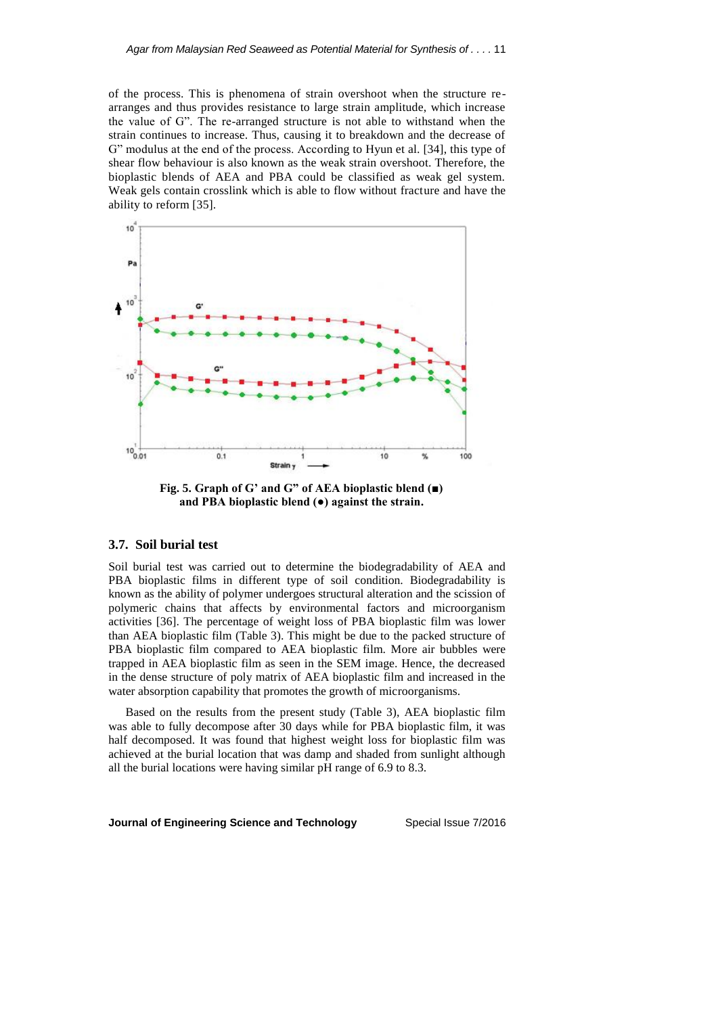of the process. This is phenomena of strain overshoot when the structure rearranges and thus provides resistance to large strain amplitude, which increase the value of G". The re-arranged structure is not able to withstand when the strain continues to increase. Thus, causing it to breakdown and the decrease of G" modulus at the end of the process. According to Hyun et al. [34], this type of shear flow behaviour is also known as the weak strain overshoot. Therefore, the bioplastic blends of AEA and PBA could be classified as weak gel system. Weak gels contain crosslink which is able to flow without fracture and have the ability to reform [35].



**Fig. 5. Graph of G' and G" of AEA bioplastic blend (■) and PBA bioplastic blend (●) against the strain.**

## **3.7. Soil burial test**

Soil burial test was carried out to determine the biodegradability of AEA and PBA bioplastic films in different type of soil condition. Biodegradability is known as the ability of polymer undergoes structural alteration and the scission of polymeric chains that affects by environmental factors and microorganism activities [36]. The percentage of weight loss of PBA bioplastic film was lower than AEA bioplastic film (Table 3). This might be due to the packed structure of PBA bioplastic film compared to AEA bioplastic film. More air bubbles were trapped in AEA bioplastic film as seen in the SEM image. Hence, the decreased in the dense structure of poly matrix of AEA bioplastic film and increased in the water absorption capability that promotes the growth of microorganisms.

Based on the results from the present study (Table 3), AEA bioplastic film was able to fully decompose after 30 days while for PBA bioplastic film, it was half decomposed. It was found that highest weight loss for bioplastic film was achieved at the burial location that was damp and shaded from sunlight although all the burial locations were having similar pH range of 6.9 to 8.3.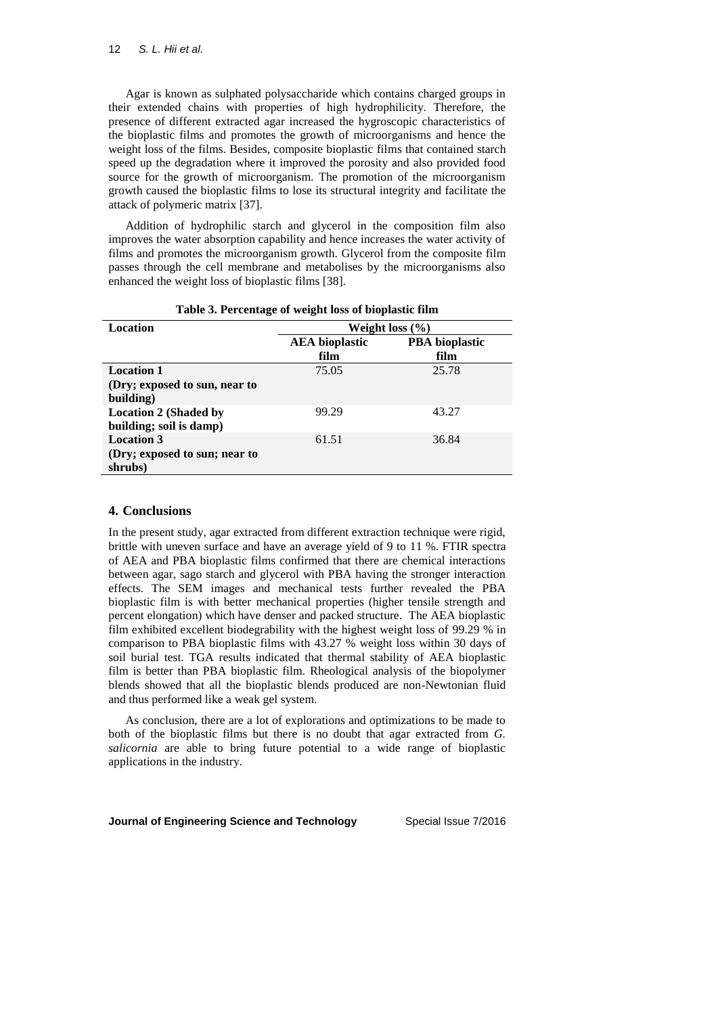Agar is known as sulphated polysaccharide which contains charged groups in their extended chains with properties of high hydrophilicity. Therefore, the presence of different extracted agar increased the hygroscopic characteristics of the bioplastic films and promotes the growth of microorganisms and hence the weight loss of the films. Besides, composite bioplastic films that contained starch speed up the degradation where it improved the porosity and also provided food source for the growth of microorganism. The promotion of the microorganism growth caused the bioplastic films to lose its structural integrity and facilitate the attack of polymeric matrix [37].

Addition of hydrophilic starch and glycerol in the composition film also improves the water absorption capability and hence increases the water activity of films and promotes the microorganism growth. Glycerol from the composite film passes through the cell membrane and metabolises by the microorganisms also enhanced the weight loss of bioplastic films [38].

| <b>Location</b>               | Weight loss $(\% )$   |                       |  |
|-------------------------------|-----------------------|-----------------------|--|
|                               | <b>AEA</b> bioplastic | <b>PBA</b> bioplastic |  |
|                               | film                  | film                  |  |
| <b>Location 1</b>             | 75.05                 | 25.78                 |  |
| (Dry; exposed to sun, near to |                       |                       |  |
| building)                     |                       |                       |  |
| <b>Location 2 (Shaded by</b>  | 99.29                 | 43.27                 |  |
| building; soil is damp)       |                       |                       |  |
| <b>Location 3</b>             | 61.51                 | 36.84                 |  |
| (Dry; exposed to sun; near to |                       |                       |  |
| shrubs)                       |                       |                       |  |

**Table 3. Percentage of weight loss of bioplastic film**

#### **4. Conclusions**

In the present study, agar extracted from different extraction technique were rigid, brittle with uneven surface and have an average yield of 9 to 11 %. FTIR spectra of AEA and PBA bioplastic films confirmed that there are chemical interactions between agar, sago starch and glycerol with PBA having the stronger interaction effects. The SEM images and mechanical tests further revealed the PBA bioplastic film is with better mechanical properties (higher tensile strength and percent elongation) which have denser and packed structure. The AEA bioplastic film exhibited excellent biodegrability with the highest weight loss of 99.29 % in comparison to PBA bioplastic films with 43.27 % weight loss within 30 days of soil burial test. TGA results indicated that thermal stability of AEA bioplastic film is better than PBA bioplastic film. Rheological analysis of the biopolymer blends showed that all the bioplastic blends produced are non-Newtonian fluid and thus performed like a weak gel system.

As conclusion, there are a lot of explorations and optimizations to be made to both of the bioplastic films but there is no doubt that agar extracted from *G. salicornia* are able to bring future potential to a wide range of bioplastic applications in the industry.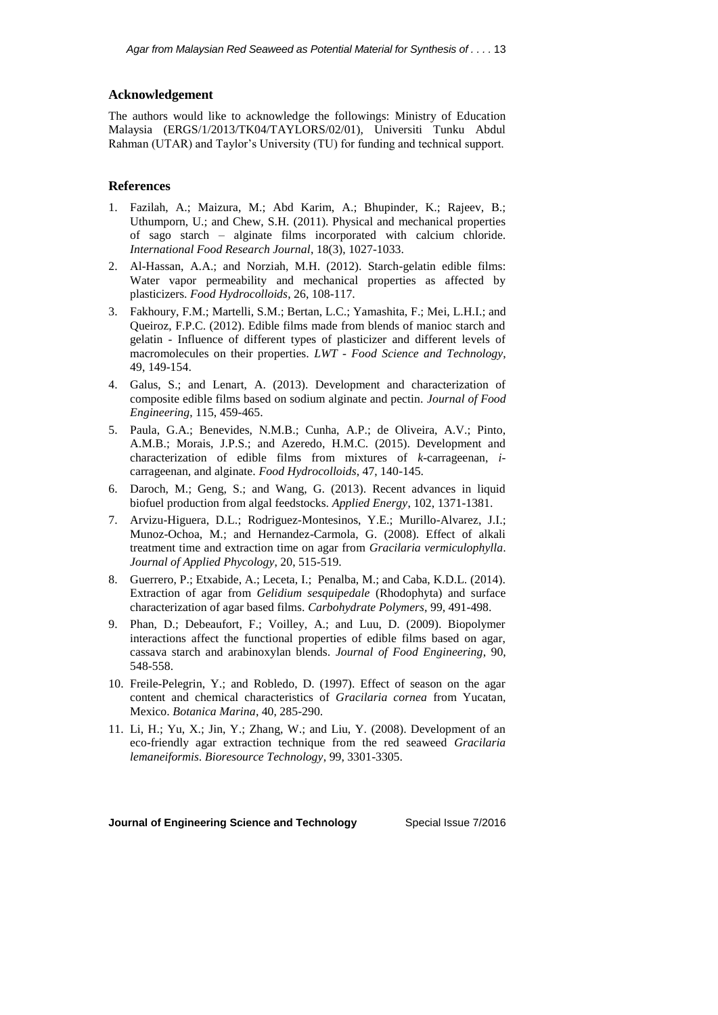## **Acknowledgement**

The authors would like to acknowledge the followings: Ministry of Education Malaysia (ERGS/1/2013/TK04/TAYLORS/02/01), Universiti Tunku Abdul Rahman (UTAR) and Taylor's University (TU) for funding and technical support.

## **References**

- 1. Fazilah, A.; Maizura, M.; Abd Karim, A.; Bhupinder, K.; Rajeev, B.; Uthumporn, U.; and Chew, S.H. (2011). Physical and mechanical properties of sago starch – alginate films incorporated with calcium chloride. *International Food Research Journal*, 18(3), 1027-1033.
- 2. Al-Hassan, A.A.; and Norziah, M.H. (2012). Starch-gelatin edible films: Water vapor permeability and mechanical properties as affected by plasticizers. *Food Hydrocolloids*, 26, 108-117.
- 3. Fakhoury, F.M.; Martelli, S.M.; Bertan, L.C.; Yamashita, F.; Mei, L.H.I.; and Queiroz, F.P.C. (2012). Edible films made from blends of manioc starch and gelatin - Influence of different types of plasticizer and different levels of macromolecules on their properties. *LWT - Food Science and Technology*, 49, 149-154.
- 4. Galus, S.; and Lenart, A. (2013). Development and characterization of composite edible films based on sodium alginate and pectin. *Journal of Food Engineering*, 115, 459-465.
- 5. Paula, G.A.; Benevides, N.M.B.; Cunha, A.P.; de Oliveira, A.V.; Pinto, A.M.B.; Morais, J.P.S.; and Azeredo, H.M.C. (2015). Development and characterization of edible films from mixtures of *k*-carrageenan, *i*carrageenan, and alginate. *Food Hydrocolloids*, 47, 140-145.
- 6. Daroch, M.; Geng, S.; and Wang, G. (2013). Recent advances in liquid biofuel production from algal feedstocks. *Applied Energy*, 102, 1371-1381.
- 7. Arvizu-Higuera, D.L.; Rodriguez-Montesinos, Y.E.; Murillo-Alvarez, J.I.; Munoz-Ochoa, M.; and Hernandez-Carmola, G. (2008). Effect of alkali treatment time and extraction time on agar from *Gracilaria vermiculophylla*. *Journal of Applied Phycology*, 20, 515-519.
- 8. Guerrero, P.; Etxabide, A.; Leceta, I.; Penalba, M.; and Caba, K.D.L. (2014). Extraction of agar from *Gelidium sesquipedale* (Rhodophyta) and surface characterization of agar based films. *Carbohydrate Polymers*, 99, 491-498.
- 9. Phan, D.; Debeaufort, F.; Voilley, A.; and Luu, D. (2009). Biopolymer interactions affect the functional properties of edible films based on agar, cassava starch and arabinoxylan blends. *Journal of Food Engineering*, 90, 548-558.
- 10. Freile-Pelegrin, Y.; and Robledo, D. (1997). Effect of season on the agar content and chemical characteristics of *Gracilaria cornea* from Yucatan, Mexico. *Botanica Marina*, 40, 285-290.
- 11. Li, H.; Yu, X.; Jin, Y.; Zhang, W.; and Liu, Y. (2008). Development of an eco-friendly agar extraction technique from the red seaweed *Gracilaria lemaneiformis*. *Bioresource Technology*, 99, 3301-3305.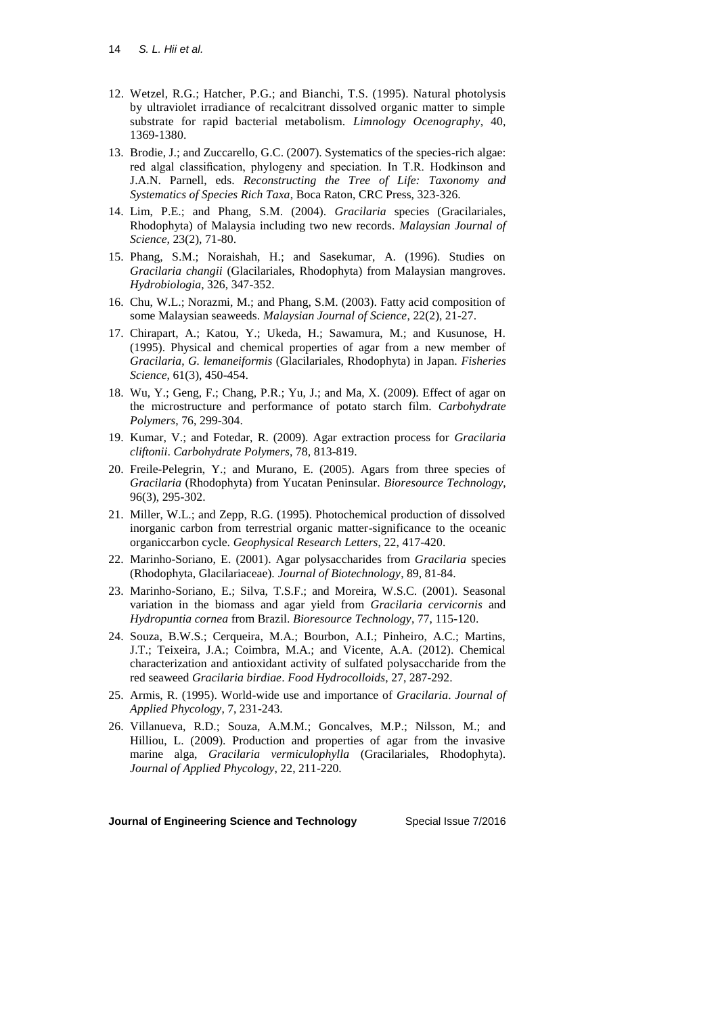- 12. Wetzel, R.G.; Hatcher, P.G.; and Bianchi, T.S. (1995). Natural photolysis by ultraviolet irradiance of recalcitrant dissolved organic matter to simple substrate for rapid bacterial metabolism. *Limnology Ocenography*, 40, 1369-1380.
- 13. Brodie, J.; and Zuccarello, G.C. (2007). Systematics of the species-rich algae: red algal classification, phylogeny and speciation. In T.R. Hodkinson and J.A.N. Parnell, eds. *Reconstructing the Tree of Life: Taxonomy and Systematics of Species Rich Taxa*, Boca Raton, CRC Press, 323-326.
- 14. Lim, P.E.; and Phang, S.M. (2004). *Gracilaria* species (Gracilariales, Rhodophyta) of Malaysia including two new records. *Malaysian Journal of Science*, 23(2), 71-80.
- 15. Phang, S.M.; Noraishah, H.; and Sasekumar, A. (1996). Studies on *Gracilaria changii* (Glacilariales, Rhodophyta) from Malaysian mangroves. *Hydrobiologia*, 326, 347-352.
- 16. Chu, W.L.; Norazmi, M.; and Phang, S.M. (2003). Fatty acid composition of some Malaysian seaweeds. *Malaysian Journal of Science*, 22(2), 21-27.
- 17. Chirapart, A.; Katou, Y.; Ukeda, H.; Sawamura, M.; and Kusunose, H. (1995). Physical and chemical properties of agar from a new member of *Gracilaria*, *G. lemaneiformis* (Glacilariales, Rhodophyta) in Japan. *Fisheries Science*, 61(3), 450-454.
- 18. Wu, Y.; Geng, F.; Chang, P.R.; Yu, J.; and Ma, X. (2009). Effect of agar on the microstructure and performance of potato starch film. *Carbohydrate Polymers*, 76, 299-304.
- 19. Kumar, V.; and Fotedar, R. (2009). Agar extraction process for *Gracilaria cliftonii*. *Carbohydrate Polymers*, 78, 813-819.
- 20. Freile-Pelegrin, Y.; and Murano, E. (2005). Agars from three species of *Gracilaria* (Rhodophyta) from Yucatan Peninsular. *Bioresource Technology*, 96(3), 295-302.
- 21. Miller, W.L.; and Zepp, R.G. (1995). Photochemical production of dissolved inorganic carbon from terrestrial organic matter-significance to the oceanic organiccarbon cycle. *Geophysical Research Letters*, 22, 417-420.
- 22. Marinho-Soriano, E. (2001). Agar polysaccharides from *Gracilaria* species (Rhodophyta, Glacilariaceae). *Journal of Biotechnology*, 89, 81-84.
- 23. Marinho-Soriano, E.; Silva, T.S.F.; and Moreira, W.S.C. (2001). Seasonal variation in the biomass and agar yield from *Gracilaria cervicornis* and *Hydropuntia cornea* from Brazil. *Bioresource Technology*, 77, 115-120.
- 24. Souza, B.W.S.; Cerqueira, M.A.; Bourbon, A.I.; Pinheiro, A.C.; Martins, J.T.; Teixeira, J.A.; Coimbra, M.A.; and Vicente, A.A. (2012). Chemical characterization and antioxidant activity of sulfated polysaccharide from the red seaweed *Gracilaria birdiae*. *Food Hydrocolloids*, 27, 287-292.
- 25. Armis, R. (1995). World-wide use and importance of *Gracilaria*. *Journal of Applied Phycology*, 7, 231-243.
- 26. Villanueva, R.D.; Souza, A.M.M.; Goncalves, M.P.; Nilsson, M.; and Hilliou, L. (2009). Production and properties of agar from the invasive marine alga, *Gracilaria vermiculophylla* (Gracilariales, Rhodophyta). *Journal of Applied Phycology*, 22, 211-220.